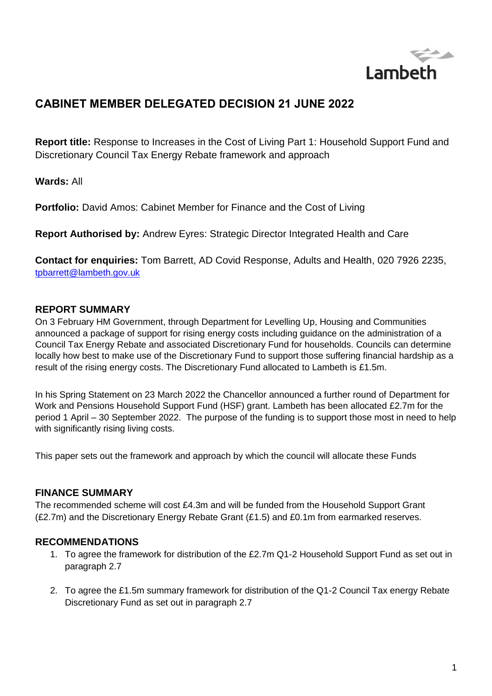

# **CABINET MEMBER DELEGATED DECISION 21 JUNE 2022**

**Report title:** Response to Increases in the Cost of Living Part 1: Household Support Fund and Discretionary Council Tax Energy Rebate framework and approach

**Wards:** All

**Portfolio:** David Amos: Cabinet Member for Finance and the Cost of Living

**Report Authorised by:** Andrew Eyres: Strategic Director Integrated Health and Care

**Contact for enquiries:** Tom Barrett, AD Covid Response, Adults and Health, 020 7926 2235, [tpbarrett@lambeth.gov.uk](mailto:tpbarrett@lambeth.gov.uk) 

### **REPORT SUMMARY**

On 3 February HM Government, through Department for Levelling Up, Housing and Communities announced a package of support for rising energy costs including guidance on the administration of a Council Tax Energy Rebate and associated Discretionary Fund for households. Councils can determine locally how best to make use of the Discretionary Fund to support those suffering financial hardship as a result of the rising energy costs. The Discretionary Fund allocated to Lambeth is £1.5m.

In his Spring Statement on 23 March 2022 the Chancellor announced a further round of Department for Work and Pensions Household Support Fund (HSF) grant. Lambeth has been allocated £2.7m for the period 1 April – 30 September 2022. The purpose of the funding is to support those most in need to help with significantly rising living costs.

This paper sets out the framework and approach by which the council will allocate these Funds

### **FINANCE SUMMARY**

The recommended scheme will cost £4.3m and will be funded from the Household Support Grant (£2.7m) and the Discretionary Energy Rebate Grant (£1.5) and £0.1m from earmarked reserves.

### **RECOMMENDATIONS**

- 1. To agree the framework for distribution of the £2.7m Q1-2 Household Support Fund as set out in paragraph [2.7](#page-3-0)
- 2. To agree the £1.5m summary framework for distribution of the Q1-2 Council Tax energy Rebate Discretionary Fund as set out in paragraph [2.7](#page-3-0)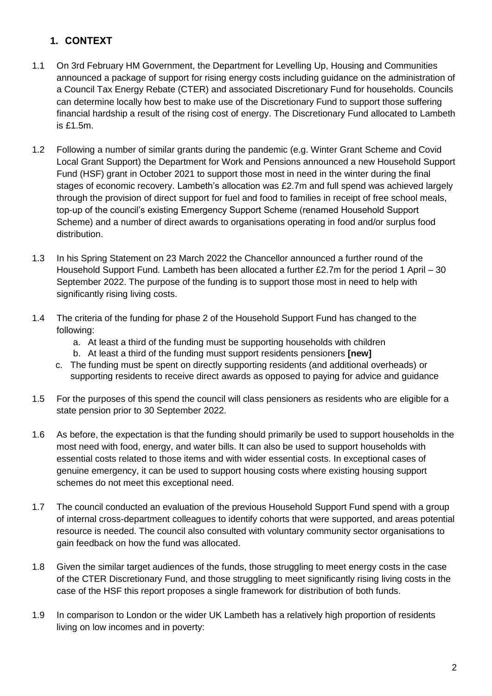# **1. CONTEXT**

- 1.1 On 3rd February HM Government, the Department for Levelling Up, Housing and Communities announced a package of support for rising energy costs including guidance on the administration of a Council Tax Energy Rebate (CTER) and associated Discretionary Fund for households. Councils can determine locally how best to make use of the Discretionary Fund to support those suffering financial hardship a result of the rising cost of energy. The Discretionary Fund allocated to Lambeth  $is$   $f1.5m$ .
- 1.2 Following a number of similar grants during the pandemic (e.g. Winter Grant Scheme and Covid Local Grant Support) the Department for Work and Pensions announced a new Household Support Fund (HSF) grant in October 2021 to support those most in need in the winter during the final stages of economic recovery. Lambeth's allocation was £2.7m and full spend was achieved largely through the provision of direct support for fuel and food to families in receipt of free school meals, top-up of the council's existing Emergency Support Scheme (renamed Household Support Scheme) and a number of direct awards to organisations operating in food and/or surplus food distribution.
- 1.3 In his Spring Statement on 23 March 2022 the Chancellor announced a further round of the Household Support Fund. Lambeth has been allocated a further £2.7m for the period 1 April – 30 September 2022. The purpose of the funding is to support those most in need to help with significantly rising living costs.
- 1.4 The criteria of the funding for phase 2 of the Household Support Fund has changed to the following:
	- a. At least a third of the funding must be supporting households with children
	- b. At least a third of the funding must support residents pensioners **[new]**
	- c. The funding must be spent on directly supporting residents (and additional overheads) or supporting residents to receive direct awards as opposed to paying for advice and guidance
- 1.5 For the purposes of this spend the council will class pensioners as residents who are eligible for a state pension prior to 30 September 2022.
- 1.6 As before, the expectation is that the funding should primarily be used to support households in the most need with food, energy, and water bills. It can also be used to support households with essential costs related to those items and with wider essential costs. In exceptional cases of genuine emergency, it can be used to support housing costs where existing housing support schemes do not meet this exceptional need.
- 1.7 The council conducted an evaluation of the previous Household Support Fund spend with a group of internal cross-department colleagues to identify cohorts that were supported, and areas potential resource is needed. The council also consulted with voluntary community sector organisations to gain feedback on how the fund was allocated.
- 1.8 Given the similar target audiences of the funds, those struggling to meet energy costs in the case of the CTER Discretionary Fund, and those struggling to meet significantly rising living costs in the case of the HSF this report proposes a single framework for distribution of both funds.
- 1.9 In comparison to London or the wider UK Lambeth has a relatively high proportion of residents living on low incomes and in poverty: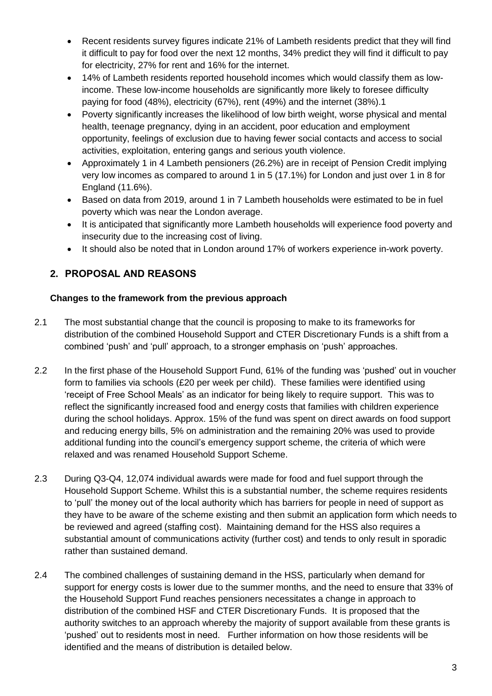- Recent residents survey figures indicate 21% of Lambeth residents predict that they will find it difficult to pay for food over the next 12 months, 34% predict they will find it difficult to pay for electricity, 27% for rent and 16% for the internet.
- 14% of Lambeth residents reported household incomes which would classify them as lowincome. These low-income households are significantly more likely to foresee difficulty paying for food (48%), electricity (67%), rent (49%) and the internet (38%).1
- Poverty significantly increases the likelihood of low birth weight, worse physical and mental health, teenage pregnancy, dying in an accident, poor education and employment opportunity, feelings of exclusion due to having fewer social contacts and access to social activities, exploitation, entering gangs and serious youth violence.
- Approximately 1 in 4 Lambeth pensioners (26.2%) are in receipt of Pension Credit implying very low incomes as compared to around 1 in 5 (17.1%) for London and just over 1 in 8 for England (11.6%).
- Based on data from 2019, around 1 in 7 Lambeth households were estimated to be in fuel poverty which was near the London average.
- It is anticipated that significantly more Lambeth households will experience food poverty and insecurity due to the increasing cost of living.
- It should also be noted that in London around 17% of workers experience in-work poverty.

# **2. PROPOSAL AND REASONS**

# **Changes to the framework from the previous approach**

- 2.1 The most substantial change that the council is proposing to make to its frameworks for distribution of the combined Household Support and CTER Discretionary Funds is a shift from a combined 'push' and 'pull' approach, to a stronger emphasis on 'push' approaches.
- 2.2 In the first phase of the Household Support Fund, 61% of the funding was 'pushed' out in voucher form to families via schools (£20 per week per child). These families were identified using 'receipt of Free School Meals' as an indicator for being likely to require support. This was to reflect the significantly increased food and energy costs that families with children experience during the school holidays. Approx. 15% of the fund was spent on direct awards on food support and reducing energy bills, 5% on administration and the remaining 20% was used to provide additional funding into the council's emergency support scheme, the criteria of which were relaxed and was renamed Household Support Scheme.
- 2.3 During Q3-Q4, 12,074 individual awards were made for food and fuel support through the Household Support Scheme. Whilst this is a substantial number, the scheme requires residents to 'pull' the money out of the local authority which has barriers for people in need of support as they have to be aware of the scheme existing and then submit an application form which needs to be reviewed and agreed (staffing cost). Maintaining demand for the HSS also requires a substantial amount of communications activity (further cost) and tends to only result in sporadic rather than sustained demand.
- 2.4 The combined challenges of sustaining demand in the HSS, particularly when demand for support for energy costs is lower due to the summer months, and the need to ensure that 33% of the Household Support Fund reaches pensioners necessitates a change in approach to distribution of the combined HSF and CTER Discretionary Funds. It is proposed that the authority switches to an approach whereby the majority of support available from these grants is 'pushed' out to residents most in need. Further information on how those residents will be identified and the means of distribution is detailed below.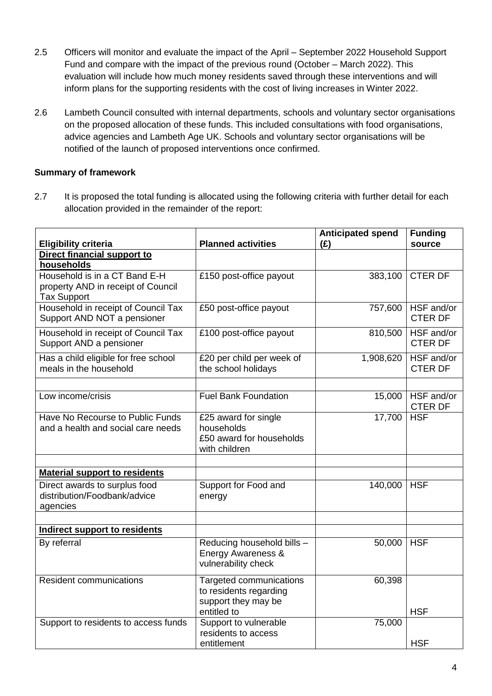- 2.5 Officers will monitor and evaluate the impact of the April September 2022 Household Support Fund and compare with the impact of the previous round (October – March 2022). This evaluation will include how much money residents saved through these interventions and will inform plans for the supporting residents with the cost of living increases in Winter 2022.
- 2.6 Lambeth Council consulted with internal departments, schools and voluntary sector organisations on the proposed allocation of these funds. This included consultations with food organisations, advice agencies and Lambeth Age UK. Schools and voluntary sector organisations will be notified of the launch of proposed interventions once confirmed.

### **Summary of framework**

<span id="page-3-0"></span>2.7 It is proposed the total funding is allocated using the following criteria with further detail for each allocation provided in the remainder of the report:

| <b>Planned activities</b><br><b>Eligibility criteria</b><br>(E)<br>source<br>Direct financial support to |  |
|----------------------------------------------------------------------------------------------------------|--|
|                                                                                                          |  |
|                                                                                                          |  |
| households                                                                                               |  |
| Household is in a CT Band E-H<br><b>CTER DF</b><br>£150 post-office payout<br>383,100                    |  |
| property AND in receipt of Council                                                                       |  |
| <b>Tax Support</b>                                                                                       |  |
| Household in receipt of Council Tax<br>HSF and/or<br>£50 post-office payout<br>757,600                   |  |
| Support AND NOT a pensioner<br><b>CTER DF</b>                                                            |  |
| Household in receipt of Council Tax<br>£100 post-office payout<br>810,500<br>HSF and/or                  |  |
| <b>CTER DF</b><br>Support AND a pensioner                                                                |  |
| £20 per child per week of<br>1,908,620<br>HSF and/or                                                     |  |
| Has a child eligible for free school<br>meals in the household<br>the school holidays<br><b>CTER DF</b>  |  |
|                                                                                                          |  |
|                                                                                                          |  |
| <b>Fuel Bank Foundation</b><br>HSF and/or<br>15,000<br>Low income/crisis                                 |  |
| <b>CTER DF</b>                                                                                           |  |
| <b>HSF</b><br>Have No Recourse to Public Funds<br>$\overline{£25}$ award for single<br>17,700            |  |
| and a health and social care needs<br>households                                                         |  |
| £50 award for households                                                                                 |  |
| with children                                                                                            |  |
|                                                                                                          |  |
| <b>Material support to residents</b>                                                                     |  |
| Direct awards to surplus food<br>Support for Food and<br>140,000<br><b>HSF</b>                           |  |
| distribution/Foodbank/advice<br>energy                                                                   |  |
| agencies                                                                                                 |  |
|                                                                                                          |  |
| Indirect support to residents                                                                            |  |
| Reducing household bills -<br>By referral<br><b>HSF</b><br>50,000                                        |  |
| Energy Awareness &                                                                                       |  |
| vulnerability check                                                                                      |  |
| <b>Resident communications</b><br>Targeted communications<br>60,398                                      |  |
| to residents regarding                                                                                   |  |
| support they may be                                                                                      |  |
| entitled to<br><b>HSF</b>                                                                                |  |
| Support to vulnerable<br>Support to residents to access funds<br>75,000                                  |  |
| residents to access                                                                                      |  |
| <b>HSF</b><br>entitlement                                                                                |  |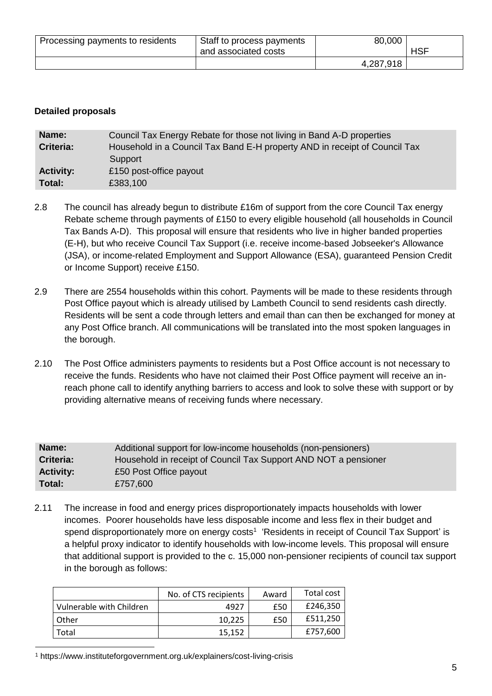| Processing payments to residents | Staff to process payments<br>and associated costs | 80,000    | <b>HSF</b> |
|----------------------------------|---------------------------------------------------|-----------|------------|
|                                  |                                                   | 4,287,918 |            |

#### **Detailed proposals**

| Name:            | Council Tax Energy Rebate for those not living in Band A-D properties      |  |  |
|------------------|----------------------------------------------------------------------------|--|--|
| <b>Criteria:</b> | Household in a Council Tax Band E-H property AND in receipt of Council Tax |  |  |
|                  | Support                                                                    |  |  |
| <b>Activity:</b> | £150 post-office payout                                                    |  |  |
| Total:           | £383,100                                                                   |  |  |

- 2.8 The council has already begun to distribute £16m of support from the core Council Tax energy Rebate scheme through payments of £150 to every eligible household (all households in Council Tax Bands A-D). This proposal will ensure that residents who live in higher banded properties (E-H), but who receive Council Tax Support (i.e. receive income-based Jobseeker's Allowance (JSA), or income-related Employment and Support Allowance (ESA), guaranteed Pension Credit or Income Support) receive £150.
- 2.9 There are 2554 households within this cohort. Payments will be made to these residents through Post Office payout which is already utilised by Lambeth Council to send residents cash directly. Residents will be sent a code through letters and email than can then be exchanged for money at any Post Office branch. All communications will be translated into the most spoken languages in the borough.
- 2.10 The Post Office administers payments to residents but a Post Office account is not necessary to receive the funds. Residents who have not claimed their Post Office payment will receive an inreach phone call to identify anything barriers to access and look to solve these with support or by providing alternative means of receiving funds where necessary.

| Name:            | Additional support for low-income households (non-pensioners)   |
|------------------|-----------------------------------------------------------------|
| Criteria:        | Household in receipt of Council Tax Support AND NOT a pensioner |
| <b>Activity:</b> | £50 Post Office payout                                          |
| Total:           | £757,600                                                        |

2.11 The increase in food and energy prices disproportionately impacts households with lower incomes. Poorer households have less disposable income and less flex in their budget and spend disproportionately more on energy costs<sup>1</sup> 'Residents in receipt of Council Tax Support' is a helpful proxy indicator to identify households with low-income levels. This proposal will ensure that additional support is provided to the c. 15,000 non-pensioner recipients of council tax support in the borough as follows:

|                          | No. of CTS recipients | Award | Total cost |
|--------------------------|-----------------------|-------|------------|
| Vulnerable with Children | 4927                  | £50   | £246,350   |
| Other                    | 10.225                | £50   | £511,250   |
| Total                    | 15,152                |       | £757,600   |

<sup>1</sup> https://www.instituteforgovernment.org.uk/explainers/cost-living-crisis

 $\overline{a}$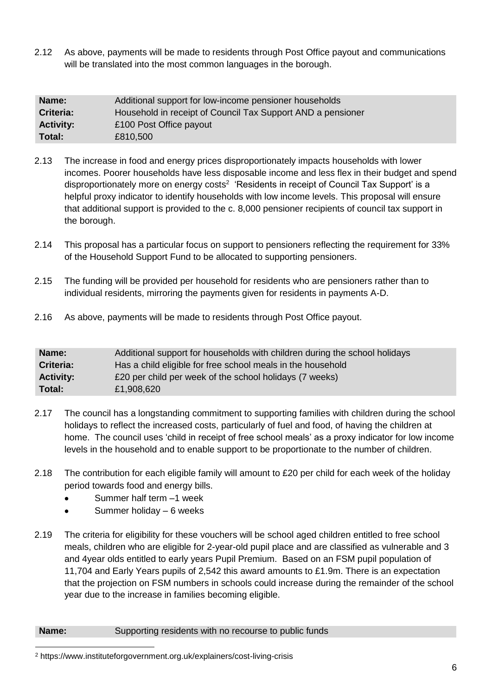2.12 As above, payments will be made to residents through Post Office payout and communications will be translated into the most common languages in the borough.

| Name:                                                                    | Additional support for low-income pensioner households |  |  |
|--------------------------------------------------------------------------|--------------------------------------------------------|--|--|
| Criteria:<br>Household in receipt of Council Tax Support AND a pensioner |                                                        |  |  |
| <b>Activity:</b>                                                         | £100 Post Office payout                                |  |  |
| Total:                                                                   | £810,500                                               |  |  |

- 2.13 The increase in food and energy prices disproportionately impacts households with lower incomes. Poorer households have less disposable income and less flex in their budget and spend disproportionately more on energy costs<sup>2</sup> 'Residents in receipt of Council Tax Support' is a helpful proxy indicator to identify households with low income levels. This proposal will ensure that additional support is provided to the c. 8,000 pensioner recipients of council tax support in the borough.
- 2.14 This proposal has a particular focus on support to pensioners reflecting the requirement for 33% of the Household Support Fund to be allocated to supporting pensioners.
- 2.15 The funding will be provided per household for residents who are pensioners rather than to individual residents, mirroring the payments given for residents in payments A-D.
- 2.16 As above, payments will be made to residents through Post Office payout.

| Name:            | Additional support for households with children during the school holidays |
|------------------|----------------------------------------------------------------------------|
| Criteria:        | Has a child eligible for free school meals in the household                |
| <b>Activity:</b> | £20 per child per week of the school holidays (7 weeks)                    |
| Total:           | £1,908,620                                                                 |

- 2.17 The council has a longstanding commitment to supporting families with children during the school holidays to reflect the increased costs, particularly of fuel and food, of having the children at home. The council uses 'child in receipt of free school meals' as a proxy indicator for low income levels in the household and to enable support to be proportionate to the number of children.
- 2.18 The contribution for each eligible family will amount to £20 per child for each week of the holiday period towards food and energy bills.
	- Summer half term –1 week
	- Summer holiday 6 weeks
- 2.19 The criteria for eligibility for these vouchers will be school aged children entitled to free school meals, children who are eligible for 2-year-old pupil place and are classified as vulnerable and 3 and 4year olds entitled to early years Pupil Premium. Based on an FSM pupil population of 11,704 and Early Years pupils of 2,542 this award amounts to £1.9m. There is an expectation that the projection on FSM numbers in schools could increase during the remainder of the school year due to the increase in families becoming eligible.

#### **Name:** Supporting residents with no recourse to public funds

 $\overline{a}$ <sup>2</sup> https://www.instituteforgovernment.org.uk/explainers/cost-living-crisis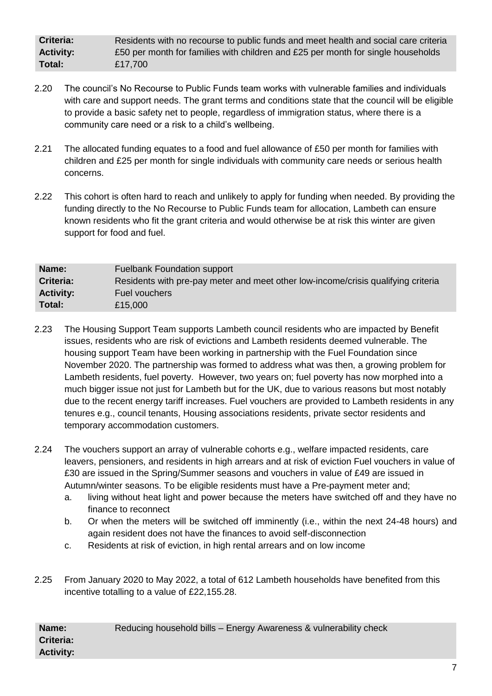**Criteria:** Residents with no recourse to public funds and meet health and social care criteria **Activity:** £50 per month for families with children and £25 per month for single households **Total:** £17,700

- 2.20 The council's No Recourse to Public Funds team works with vulnerable families and individuals with care and support needs. The grant terms and conditions state that the council will be eligible to provide a basic safety net to people, regardless of immigration status, where there is a community care need or a risk to a child's wellbeing.
- 2.21 The allocated funding equates to a food and fuel allowance of £50 per month for families with children and £25 per month for single individuals with community care needs or serious health concerns.
- 2.22 This cohort is often hard to reach and unlikely to apply for funding when needed. By providing the funding directly to the No Recourse to Public Funds team for allocation, Lambeth can ensure known residents who fit the grant criteria and would otherwise be at risk this winter are given support for food and fuel.

| Name:            | <b>Fuelbank Foundation support</b>                                                |
|------------------|-----------------------------------------------------------------------------------|
| Criteria:        | Residents with pre-pay meter and meet other low-income/crisis qualifying criteria |
| <b>Activity:</b> | Fuel vouchers                                                                     |
| Total:           | £15,000                                                                           |

- 2.23 The Housing Support Team supports Lambeth council residents who are impacted by Benefit issues, residents who are risk of evictions and Lambeth residents deemed vulnerable. The housing support Team have been working in partnership with the Fuel Foundation since November 2020. The partnership was formed to address what was then, a growing problem for Lambeth residents, fuel poverty. However, two years on; fuel poverty has now morphed into a much bigger issue not just for Lambeth but for the UK, due to various reasons but most notably due to the recent energy tariff increases. Fuel vouchers are provided to Lambeth residents in any tenures e.g., council tenants, Housing associations residents, private sector residents and temporary accommodation customers.
- 2.24 The vouchers support an array of vulnerable cohorts e.g., welfare impacted residents, care leavers, pensioners, and residents in high arrears and at risk of eviction Fuel vouchers in value of £30 are issued in the Spring/Summer seasons and vouchers in value of £49 are issued in Autumn/winter seasons. To be eligible residents must have a Pre-payment meter and;
	- a. living without heat light and power because the meters have switched off and they have no finance to reconnect
	- b. Or when the meters will be switched off imminently (i.e., within the next 24-48 hours) and again resident does not have the finances to avoid self-disconnection
	- c. Residents at risk of eviction, in high rental arrears and on low income
- 2.25 From January 2020 to May 2022, a total of 612 Lambeth households have benefited from this incentive totalling to a value of £22,155.28.

| Name:            | Reducing household bills - Energy Awareness & vulnerability check |
|------------------|-------------------------------------------------------------------|
| <b>Criteria:</b> |                                                                   |
| <b>Activity:</b> |                                                                   |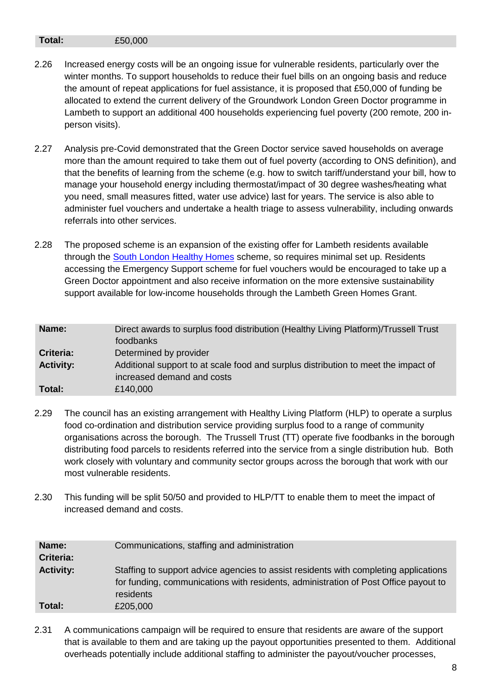#### **Total:** £50,000

- 2.26 Increased energy costs will be an ongoing issue for vulnerable residents, particularly over the winter months. To support households to reduce their fuel bills on an ongoing basis and reduce the amount of repeat applications for fuel assistance, it is proposed that £50,000 of funding be allocated to extend the current delivery of the Groundwork London Green Doctor programme in Lambeth to support an additional 400 households experiencing fuel poverty (200 remote, 200 inperson visits).
- 2.27 Analysis pre-Covid demonstrated that the Green Doctor service saved households on average more than the amount required to take them out of fuel poverty (according to ONS definition), and that the benefits of learning from the scheme (e.g. how to switch tariff/understand your bill, how to manage your household energy including thermostat/impact of 30 degree washes/heating what you need, small measures fitted, water use advice) last for years. The service is also able to administer fuel vouchers and undertake a health triage to assess vulnerability, including onwards referrals into other services.
- 2.28 The proposed scheme is an expansion of the existing offer for Lambeth residents available through the [South London Healthy Homes](https://cact.org.uk/swtw) scheme, so requires minimal set up. Residents accessing the Emergency Support scheme for fuel vouchers would be encouraged to take up a Green Doctor appointment and also receive information on the more extensive sustainability support available for low-income households through the Lambeth Green Homes Grant.

| Name:            | Direct awards to surplus food distribution (Healthy Living Platform)/Trussell Trust<br>foodbanks                 |
|------------------|------------------------------------------------------------------------------------------------------------------|
| Criteria:        | Determined by provider                                                                                           |
| <b>Activity:</b> | Additional support to at scale food and surplus distribution to meet the impact of<br>increased demand and costs |
| Total:           | £140,000                                                                                                         |

- 2.29 The council has an existing arrangement with Healthy Living Platform (HLP) to operate a surplus food co-ordination and distribution service providing surplus food to a range of community organisations across the borough. The Trussell Trust (TT) operate five foodbanks in the borough distributing food parcels to residents referred into the service from a single distribution hub. Both work closely with voluntary and community sector groups across the borough that work with our most vulnerable residents.
- 2.30 This funding will be split 50/50 and provided to HLP/TT to enable them to meet the impact of increased demand and costs.

| Name:<br><b>Criteria:</b> | Communications, staffing and administration                                                                                                                                              |
|---------------------------|------------------------------------------------------------------------------------------------------------------------------------------------------------------------------------------|
| <b>Activity:</b>          | Staffing to support advice agencies to assist residents with completing applications<br>for funding, communications with residents, administration of Post Office payout to<br>residents |
| Total:                    | £205,000                                                                                                                                                                                 |

2.31 A communications campaign will be required to ensure that residents are aware of the support that is available to them and are taking up the payout opportunities presented to them. Additional overheads potentially include additional staffing to administer the payout/voucher processes,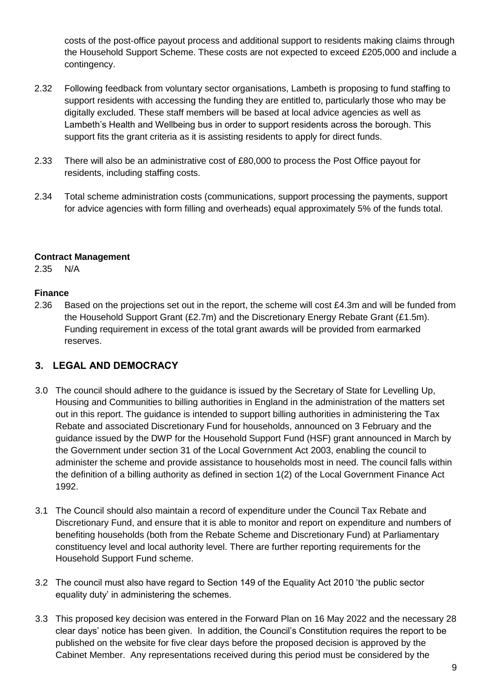costs of the post-office payout process and additional support to residents making claims through the Household Support Scheme. These costs are not expected to exceed £205,000 and include a contingency.

- 2.32 Following feedback from voluntary sector organisations, Lambeth is proposing to fund staffing to support residents with accessing the funding they are entitled to, particularly those who may be digitally excluded. These staff members will be based at local advice agencies as well as Lambeth's Health and Wellbeing bus in order to support residents across the borough. This support fits the grant criteria as it is assisting residents to apply for direct funds.
- 2.33 There will also be an administrative cost of £80,000 to process the Post Office payout for residents, including staffing costs.
- 2.34 Total scheme administration costs (communications, support processing the payments, support for advice agencies with form filling and overheads) equal approximately 5% of the funds total.

#### **Contract Management**

2.35 N/A

#### **Finance**

2.36 Based on the projections set out in the report, the scheme will cost £4.3m and will be funded from the Household Support Grant (£2.7m) and the Discretionary Energy Rebate Grant (£1.5m). Funding requirement in excess of the total grant awards will be provided from earmarked reserves.

## **3. LEGAL AND DEMOCRACY**

- 3.0 The council should adhere to the guidance is issued by the Secretary of State for Levelling Up, Housing and Communities to billing authorities in England in the administration of the matters set out in this report. The guidance is intended to support billing authorities in administering the Tax Rebate and associated Discretionary Fund for households, announced on 3 February and the guidance issued by the DWP for the Household Support Fund (HSF) grant announced in March by the Government under section 31 of the Local Government Act 2003, enabling the council to administer the scheme and provide assistance to households most in need. The council falls within the definition of a billing authority as defined in section 1(2) of the Local Government Finance Act 1992.
- 3.1 The Council should also maintain a record of expenditure under the Council Tax Rebate and Discretionary Fund, and ensure that it is able to monitor and report on expenditure and numbers of benefiting households (both from the Rebate Scheme and Discretionary Fund) at Parliamentary constituency level and local authority level. There are further reporting requirements for the Household Support Fund scheme.
- 3.2 The council must also have regard to Section 149 of the Equality Act 2010 'the public sector equality duty' in administering the schemes.
- 3.3 This proposed key decision was entered in the Forward Plan on 16 May 2022 and the necessary 28 clear days' notice has been given. In addition, the Council's Constitution requires the report to be published on the website for five clear days before the proposed decision is approved by the Cabinet Member. Any representations received during this period must be considered by the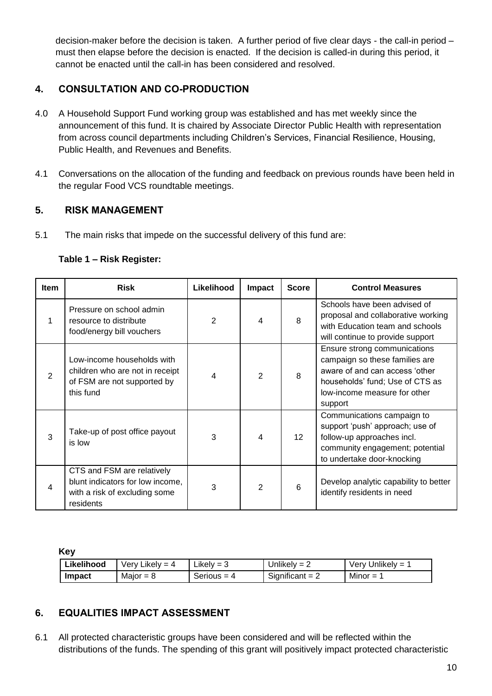decision-maker before the decision is taken. A further period of five clear days - the call-in period – must then elapse before the decision is enacted. If the decision is called-in during this period, it cannot be enacted until the call-in has been considered and resolved.

# **4. CONSULTATION AND CO-PRODUCTION**

- 4.0 A Household Support Fund working group was established and has met weekly since the announcement of this fund. It is chaired by Associate Director Public Health with representation from across council departments including Children's Services, Financial Resilience, Housing, Public Health, and Revenues and Benefits.
- 4.1 Conversations on the allocation of the funding and feedback on previous rounds have been held in the regular Food VCS roundtable meetings.

# **5. RISK MANAGEMENT**

5.1 The main risks that impede on the successful delivery of this fund are:

| <b>Item</b> | <b>Risk</b>                                                                                               | Likelihood | Impact         | <b>Score</b>    | <b>Control Measures</b>                                                                                                                                                        |
|-------------|-----------------------------------------------------------------------------------------------------------|------------|----------------|-----------------|--------------------------------------------------------------------------------------------------------------------------------------------------------------------------------|
|             | Pressure on school admin<br>resource to distribute<br>food/energy bill vouchers                           | 2          | 4              | 8               | Schools have been advised of<br>proposal and collaborative working<br>with Education team and schools<br>will continue to provide support                                      |
| 2           | Low-income households with<br>children who are not in receipt<br>of FSM are not supported by<br>this fund | 4          | $\overline{2}$ | 8               | Ensure strong communications<br>campaign so these families are<br>aware of and can access 'other<br>households' fund; Use of CTS as<br>low-income measure for other<br>support |
| 3           | Take-up of post office payout<br>is low                                                                   | 3          | $\overline{4}$ | 12 <sup>2</sup> | Communications campaign to<br>support 'push' approach; use of<br>follow-up approaches incl.<br>community engagement; potential<br>to undertake door-knocking                   |

### **Table 1 – Risk Register:**

**Key**

residents

4

| Likelihood | Verv Likelv = 4 | Likely $=$ 3  | Unlikely = $2$    | Verv Unlikelv = 1 |
|------------|-----------------|---------------|-------------------|-------------------|
| Impact     | Maior = $8$     | Serious $=$ 4 | Significant = $2$ | Minor $=$         |

3 2 6

# **6. EQUALITIES IMPACT ASSESSMENT**

CTS and FSM are relatively blunt indicators for low income, with a risk of excluding some

6.1 All protected characteristic groups have been considered and will be reflected within the distributions of the funds. The spending of this grant will positively impact protected characteristic

Develop analytic capability to better

identify residents in need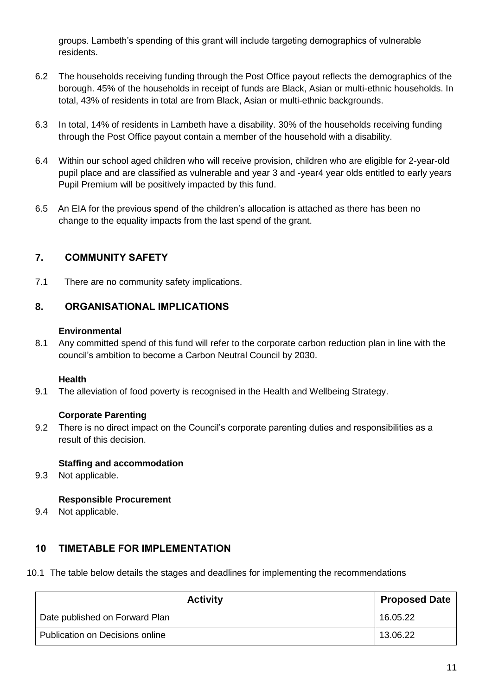groups. Lambeth's spending of this grant will include targeting demographics of vulnerable residents.

- 6.2 The households receiving funding through the Post Office payout reflects the demographics of the borough. 45% of the households in receipt of funds are Black, Asian or multi-ethnic households. In total, 43% of residents in total are from Black, Asian or multi-ethnic backgrounds.
- 6.3 In total, 14% of residents in Lambeth have a disability. 30% of the households receiving funding through the Post Office payout contain a member of the household with a disability.
- 6.4 Within our school aged children who will receive provision, children who are eligible for 2-year-old pupil place and are classified as vulnerable and year 3 and -year4 year olds entitled to early years Pupil Premium will be positively impacted by this fund.
- 6.5 An EIA for the previous spend of the children's allocation is attached as there has been no change to the equality impacts from the last spend of the grant.

# **7. COMMUNITY SAFETY**

7.1 There are no community safety implications.

## **8. ORGANISATIONAL IMPLICATIONS**

#### **Environmental**

8.1 Any committed spend of this fund will refer to the corporate carbon reduction plan in line with the council's ambition to become a Carbon Neutral Council by 2030.

### **Health**

9.1 The alleviation of food poverty is recognised in the Health and Wellbeing Strategy.

### **Corporate Parenting**

9.2 There is no direct impact on the Council's corporate parenting duties and responsibilities as a result of this decision.

### **Staffing and accommodation**

9.3 Not applicable.

### **Responsible Procurement**

9.4 Not applicable.

## **10 TIMETABLE FOR IMPLEMENTATION**

10.1 The table below details the stages and deadlines for implementing the recommendations

| <b>Activity</b>                 | <b>Proposed Date</b> |
|---------------------------------|----------------------|
| Date published on Forward Plan  | 16.05.22             |
| Publication on Decisions online | 13.06.22             |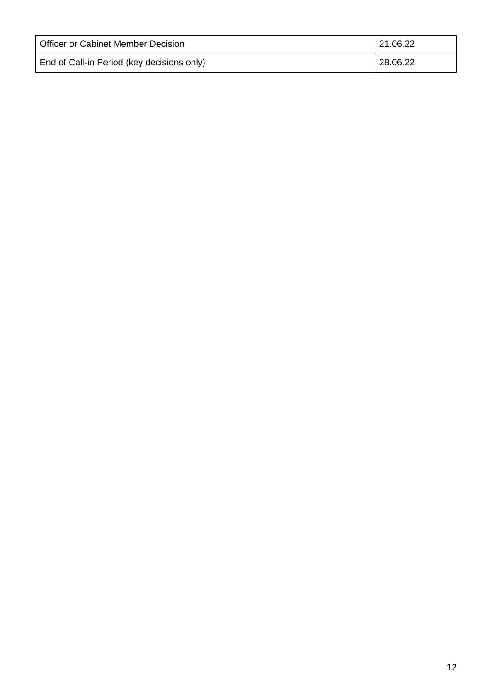| Officer or Cabinet Member Decision         | 21.06.22 |
|--------------------------------------------|----------|
| End of Call-in Period (key decisions only) | 28.06.22 |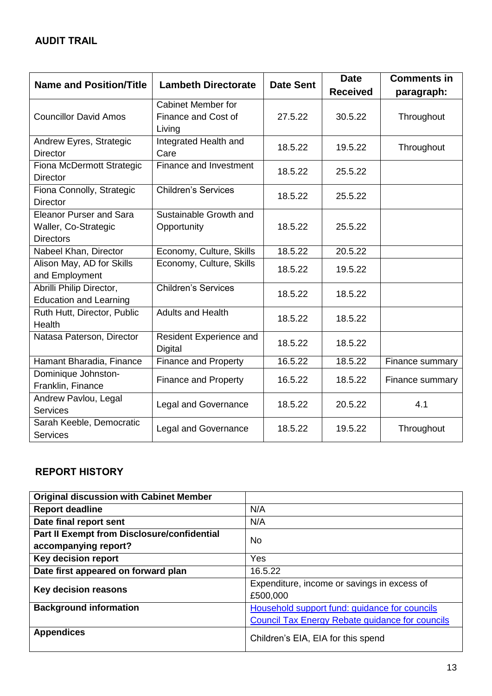| <b>Name and Position/Title</b> | <b>Lambeth Directorate</b>  | <b>Date Sent</b> | <b>Date</b>     | <b>Comments in</b> |
|--------------------------------|-----------------------------|------------------|-----------------|--------------------|
|                                |                             |                  | <b>Received</b> | paragraph:         |
|                                | <b>Cabinet Member for</b>   |                  |                 |                    |
| <b>Councillor David Amos</b>   | Finance and Cost of         | 27.5.22          | 30.5.22         | Throughout         |
|                                | Living                      |                  |                 |                    |
| Andrew Eyres, Strategic        | Integrated Health and       | 18.5.22          | 19.5.22         | Throughout         |
| <b>Director</b>                | Care                        |                  |                 |                    |
| Fiona McDermott Strategic      | Finance and Investment      | 18.5.22          | 25.5.22         |                    |
| <b>Director</b>                |                             |                  |                 |                    |
| Fiona Connolly, Strategic      | <b>Children's Services</b>  | 18.5.22          | 25.5.22         |                    |
| <b>Director</b>                |                             |                  |                 |                    |
| <b>Eleanor Purser and Sara</b> | Sustainable Growth and      |                  |                 |                    |
| Waller, Co-Strategic           | Opportunity                 | 18.5.22          | 25.5.22         |                    |
| <b>Directors</b>               |                             |                  |                 |                    |
| Nabeel Khan, Director          | Economy, Culture, Skills    | 18.5.22          | 20.5.22         |                    |
| Alison May, AD for Skills      | Economy, Culture, Skills    | 18.5.22          | 19.5.22         |                    |
| and Employment                 |                             |                  |                 |                    |
| Abrilli Philip Director,       | <b>Children's Services</b>  | 18.5.22          | 18.5.22         |                    |
| <b>Education and Learning</b>  |                             |                  |                 |                    |
| Ruth Hutt, Director, Public    | <b>Adults and Health</b>    | 18.5.22          | 18.5.22         |                    |
| Health                         |                             |                  |                 |                    |
| Natasa Paterson, Director      | Resident Experience and     | 18.5.22          | 18.5.22         |                    |
|                                | <b>Digital</b>              |                  |                 |                    |
| Hamant Bharadia, Finance       | <b>Finance and Property</b> | 16.5.22          | 18.5.22         | Finance summary    |
| Dominique Johnston-            | <b>Finance and Property</b> | 16.5.22          | 18.5.22         | Finance summary    |
| Franklin, Finance              |                             |                  |                 |                    |
| Andrew Pavlou, Legal           | <b>Legal and Governance</b> | 18.5.22          | 20.5.22         | 4.1                |
| <b>Services</b>                |                             |                  |                 |                    |
| Sarah Keeble, Democratic       | <b>Legal and Governance</b> | 18.5.22          | 19.5.22         | Throughout         |
| <b>Services</b>                |                             |                  |                 |                    |

# **REPORT HISTORY**

| <b>Original discussion with Cabinet Member</b> |                                                        |  |  |
|------------------------------------------------|--------------------------------------------------------|--|--|
| <b>Report deadline</b>                         | N/A                                                    |  |  |
| Date final report sent                         | N/A                                                    |  |  |
| Part II Exempt from Disclosure/confidential    | No                                                     |  |  |
| accompanying report?                           |                                                        |  |  |
| Key decision report                            | Yes                                                    |  |  |
| Date first appeared on forward plan            | 16.5.22                                                |  |  |
| Key decision reasons                           | Expenditure, income or savings in excess of            |  |  |
|                                                | £500,000                                               |  |  |
| <b>Background information</b>                  | Household support fund: guidance for councils          |  |  |
|                                                | <b>Council Tax Energy Rebate guidance for councils</b> |  |  |
| <b>Appendices</b>                              | Children's EIA, EIA for this spend                     |  |  |
|                                                |                                                        |  |  |